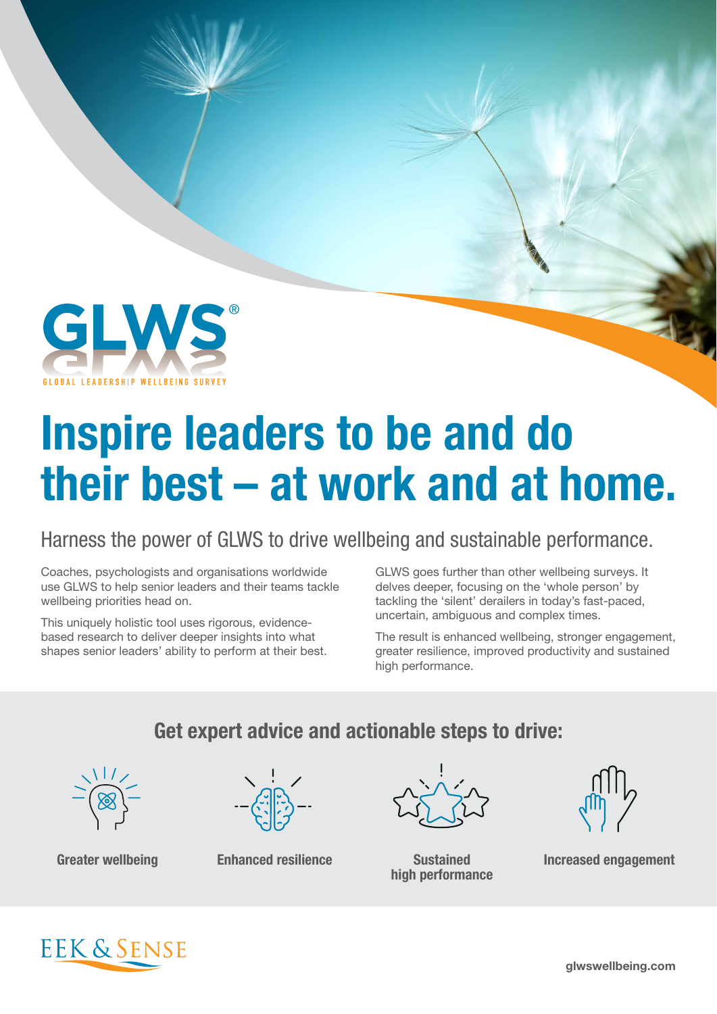

# Inspire leaders to be and do their best – at work and at home.

#### Harness the power of GLWS to drive wellbeing and sustainable performance.

Coaches, psychologists and organisations worldwide use GLWS to help senior leaders and their teams tackle wellbeing priorities head on.

This uniquely holistic tool uses rigorous, evidencebased research to deliver deeper insights into what shapes senior leaders' ability to perform at their best. GLWS goes further than other wellbeing surveys. It delves deeper, focusing on the 'whole person' by tackling the 'silent' derailers in today's fast-paced, uncertain, ambiguous and complex times.

The result is enhanced wellbeing, stronger engagement, greater resilience, improved productivity and sustained high performance.

#### Get expert advice and actionable steps to drive:





high performance



Greater wellbeing The Enhanced resilience The Sustained Sustained Increased engagement



glwswellbeing.com